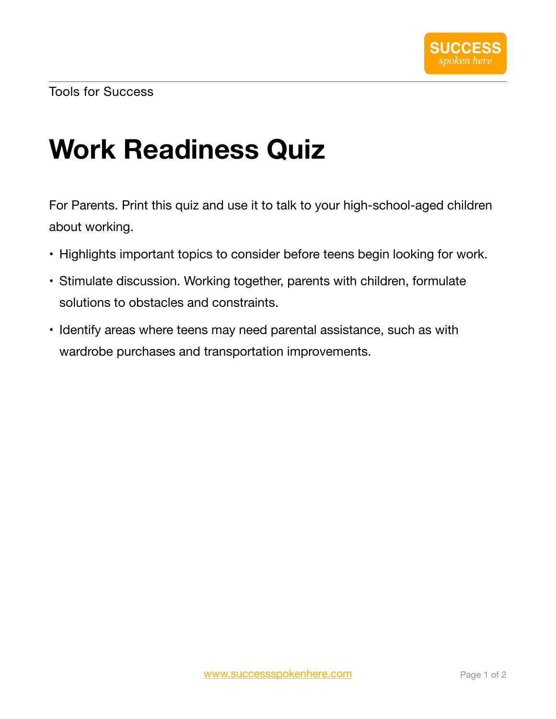## **Work Readiness Quiz**

For Parents. Print this quiz and use it to talk to your high-school-aged children about working.

- Highlights important topics to consider before teens begin looking for work.
- Stimulate discussion. Working together, parents with children, formulate solutions to obstacles and constraints.
- Identify areas where teens may need parental assistance, such as with wardrobe purchases and transportation improvements.